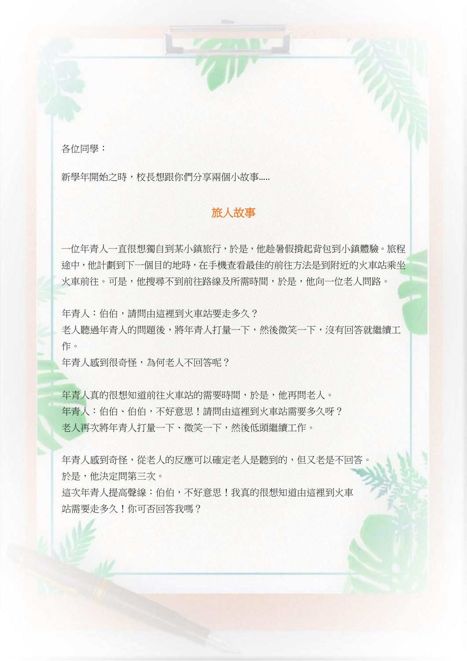各位同學:

新學年開始之時,校長想跟你們分享兩個小故事.....

## 旅人故事

一位年青人一直很想獨自到某小鎮旅行,於是,他趁暑假揹起背包到小鎮體驗。旅程 途中,他計劃到下一個目的地時,在手機查看最佳的前往方法是到附近的火車站乘坐 火車前往。可是,他搜尋不到前往路線及所需時間,於是,他向一位老人問路。

年青人:伯伯,請問由這裡到火車站要走多久?

老人聽過年青人的問題後,將年青人打量一下,然後微笑一下,沒有回答就繼續工 作。

年青人感到很奇怪,為何老人不回答呢?

年青人真的很想知道前往火車站的需要時間,於是,他再問老人。 年青人:伯伯、伯伯,不好意思!請問由這裡到火車站需要多久呀? 老人再次將年青人打量一下、微笑一下,然後低頭繼續工作。

年青人感到奇怪,從老人的反應可以確定老人是聽到的,但又老是不回答。 於是,他決定問第三次。

這次年青人提高聲線:伯伯,不好意思!我真的很想知道由這裡到火車 站需要走多久!你可否回答我嗎?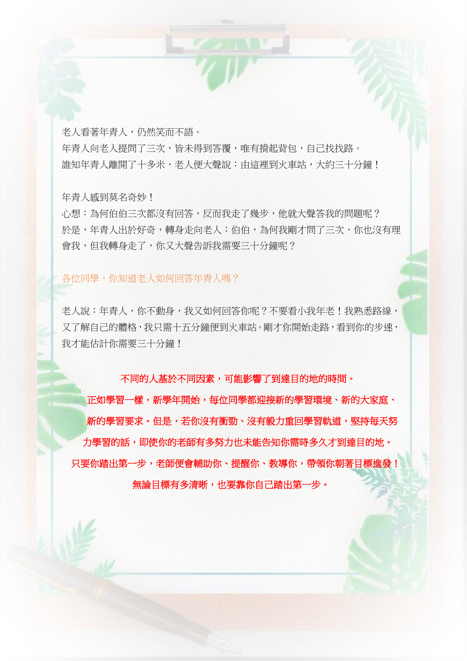老人看著年青人,仍然笑而不語。 年青人向老人提問了三次,皆未得到答覆,唯有揹起背包,自己找找路。 誰知年青人離開了十多米,老人便大聲說:由這裡到火車站,大約三十分鐘!

年青人感到莫名奇妙!

心想:為何伯伯三次都沒有回答,反而我走了幾步,他就大聲答我的問題呢? 於是,年青人出於好奇,轉身走向老人:伯伯,為何我剛才問了三次,你也沒有理 會我,但我轉身走了,你又大聲告訴我需要三十分鐘呢?

#### 各位同學,你知道老人如何回答年青人嗎?

老人說:年青人,你不動身,我又如何回答你呢?不要看小我年老!我熟悉路線, 又了解自己的體格,我只需十五分鐘便到火車站。剛才你開始走路,看到你的步速, 我才能估計你需要三十分鐘!

不同的人基於不同因素,可能影響了到達目的地的時間。

正如學習一樣,新學年開始,每位同學都迎接新的學習環境、新的大家庭、 新的學習要求。但是,若你沒有衝勁、沒有毅力重回學習軌道,堅持每天努 力學習的話,即使你的老師有多努力也未能告知你需時多久才到達目的地。 只要你踏出第一步,老師便會輔助你、提醒你、教導你,帶領你朝著目標進發! 無論目標有多清晰,也要靠你自己踏出第一步。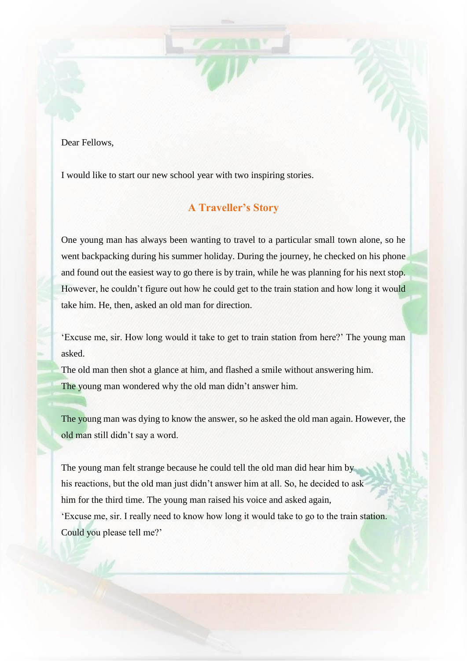Dear Fellows,

I would like to start our new school year with two inspiring stories.

## **A Traveller's Story**

One young man has always been wanting to travel to a particular small town alone, so he went backpacking during his summer holiday. During the journey, he checked on his phone and found out the easiest way to go there is by train, while he was planning for his next stop. However, he couldn't figure out how he could get to the train station and how long it would take him. He, then, asked an old man for direction.

'Excuse me, sir. How long would it take to get to train station from here?' The young man asked.

The old man then shot a glance at him, and flashed a smile without answering him. The young man wondered why the old man didn't answer him.

The young man was dying to know the answer, so he asked the old man again. However, the old man still didn't say a word.

The young man felt strange because he could tell the old man did hear him by his reactions, but the old man just didn't answer him at all. So, he decided to ask him for the third time. The young man raised his voice and asked again, 'Excuse me, sir. I really need to know how long it would take to go to the train station. Could you please tell me?'